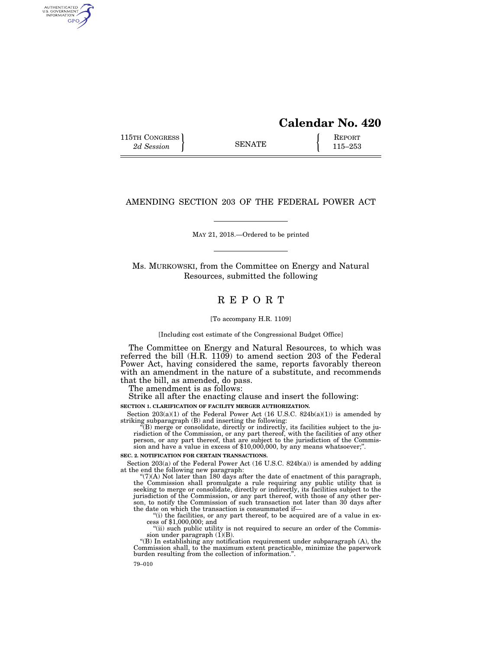# **Calendar No. 420**

115TH CONGRESS **REPORT** 2d Session **115–253** 

AUTHENTICATED<br>U.S. GOVERNMENT<br>INFORMATION **GPO** 

# AMENDING SECTION 203 OF THE FEDERAL POWER ACT

# MAY 21, 2018.—Ordered to be printed

Ms. MURKOWSKI, from the Committee on Energy and Natural Resources, submitted the following

# R E P O R T

#### [To accompany H.R. 1109]

[Including cost estimate of the Congressional Budget Office]

The Committee on Energy and Natural Resources, to which was referred the bill (H.R. 1109) to amend section 203 of the Federal Power Act, having considered the same, reports favorably thereon with an amendment in the nature of a substitute, and recommends that the bill, as amended, do pass.

The amendment is as follows:

Strike all after the enacting clause and insert the following:

**SECTION 1. CLARIFICATION OF FACILITY MERGER AUTHORIZATION.** 

Section  $203(a)(1)$  of the Federal Power Act (16 U.S.C.  $824b(a)(1)$ ) is amended by

striking subparagraph (B) and inserting the following:<br>"(B) merge or consolidate, directly or indirectly, its facilities subject to the ju-<br>risdiction of the Commission, or any part thereof, that are subject to the jurisd

#### **SEC. 2. NOTIFICATION FOR CERTAIN TRANSACTIONS.**

Section 203(a) of the Federal Power Act (16 U.S.C. 824b(a)) is amended by adding at the end the following new paragraph:

 $^{\circ}$ (7)(A) Not later than 180 days after the date of enactment of this paragraph, the Commission shall promulgate a rule requiring any public utility that is seeking to merge or consolidate, directly or indirectly, its jurisdiction of the Commission, or any part thereof, with those of any other person, to notify the Commission of such transaction not later than 30 days after the date on which the transaction is consummated if—<br>"(i) the

cess of \$1,000,000; and<br>"(ii) such public utility is not required to secure an order of the Commis-

sion under paragraph  $(1)(B)$ .<br>"(B) In establishing any notification requirement under subparagraph  $(A)$ , the

Commission shall, to the maximum extent practicable, minimize the paperwork burden resulting from the collection of information.''.

79–010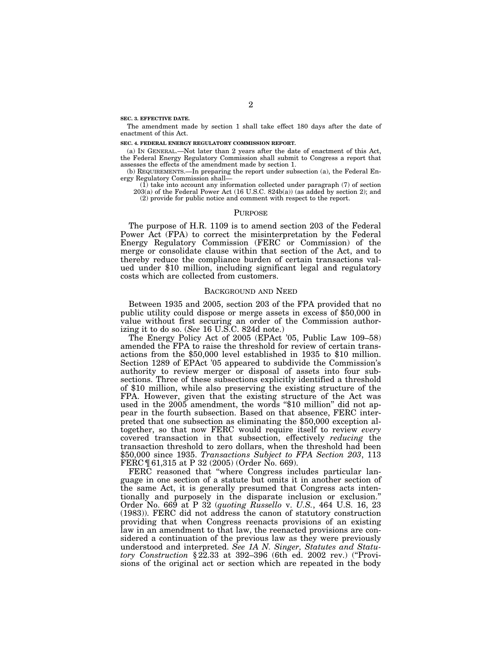**SEC. 3. EFFECTIVE DATE.** 

The amendment made by section 1 shall take effect 180 days after the date of enactment of this Act.

#### **SEC. 4. FEDERAL ENERGY REGULATORY COMMISSION REPORT.**

(a) IN GENERAL.—Not later than 2 years after the date of enactment of this Act, the Federal Energy Regulatory Commission shall submit to Congress a report that assesses the effects of the amendment made by section 1.

(b) REQUIREMENTS.—In preparing the report under subsection (a), the Federal Energy Regulatory Commission shall—

(1) take into account any information collected under paragraph (7) of section 203(a) of the Federal Power Act (16 U.S.C. 824b(a)) (as added by section 2); and (2) provide for public notice and comment with respect to the report.

#### PURPOSE

The purpose of H.R. 1109 is to amend section 203 of the Federal Power Act (FPA) to correct the misinterpretation by the Federal Energy Regulatory Commission (FERC or Commission) of the merge or consolidate clause within that section of the Act, and to thereby reduce the compliance burden of certain transactions valued under \$10 million, including significant legal and regulatory costs which are collected from customers.

#### BACKGROUND AND NEED

Between 1935 and 2005, section 203 of the FPA provided that no public utility could dispose or merge assets in excess of \$50,000 in value without first securing an order of the Commission authorizing it to do so. (*See* 16 U.S.C. 824d note.)

The Energy Policy Act of 2005 (EPAct '05, Public Law 109–58) amended the FPA to raise the threshold for review of certain transactions from the \$50,000 level established in 1935 to \$10 million. Section 1289 of EPAct '05 appeared to subdivide the Commission's authority to review merger or disposal of assets into four subsections. Three of these subsections explicitly identified a threshold of \$10 million, while also preserving the existing structure of the FPA. However, given that the existing structure of the Act was used in the 2005 amendment, the words "\$10 million" did not appear in the fourth subsection. Based on that absence, FERC interpreted that one subsection as eliminating the \$50,000 exception altogether, so that now FERC would require itself to review *every*  covered transaction in that subsection, effectively *reducing* the transaction threshold to zero dollars, when the threshold had been \$50,000 since 1935. *Transactions Subject to FPA Section 203*, 113 FERC ¶ 61,315 at P 32 (2005) (Order No. 669).

FERC reasoned that ''where Congress includes particular language in one section of a statute but omits it in another section of the same Act, it is generally presumed that Congress acts intentionally and purposely in the disparate inclusion or exclusion.'' Order No. 669 at P 32 (*quoting Russello* v. *U.S.*, 464 U.S. 16, 23 (1983)). FERC did not address the canon of statutory construction providing that when Congress reenacts provisions of an existing law in an amendment to that law, the reenacted provisions are considered a continuation of the previous law as they were previously understood and interpreted. *See 1A N. Singer, Statutes and Statutory Construction* § 22.33 at 392–396 (6th ed. 2002 rev.) (''Provisions of the original act or section which are repeated in the body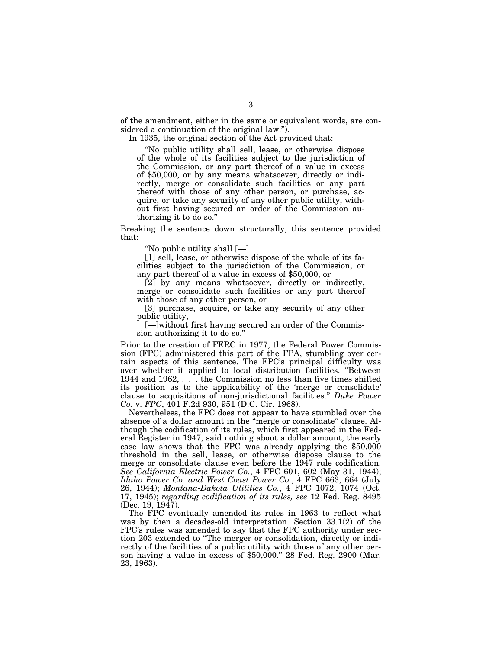of the amendment, either in the same or equivalent words, are considered a continuation of the original law.'').

In 1935, the original section of the Act provided that:

''No public utility shall sell, lease, or otherwise dispose of the whole of its facilities subject to the jurisdiction of the Commission, or any part thereof of a value in excess of \$50,000, or by any means whatsoever, directly or indirectly, merge or consolidate such facilities or any part thereof with those of any other person, or purchase, acquire, or take any security of any other public utility, without first having secured an order of the Commission authorizing it to do so.''

Breaking the sentence down structurally, this sentence provided that:

''No public utility shall [—]

[1] sell, lease, or otherwise dispose of the whole of its facilities subject to the jurisdiction of the Commission, or any part thereof of a value in excess of \$50,000, or

[2] by any means whatsoever, directly or indirectly, merge or consolidate such facilities or any part thereof with those of any other person, or

[3] purchase, acquire, or take any security of any other public utility,

[—]without first having secured an order of the Commission authorizing it to do so.''

Prior to the creation of FERC in 1977, the Federal Power Commission (FPC) administered this part of the FPA, stumbling over certain aspects of this sentence. The FPC's principal difficulty was over whether it applied to local distribution facilities. ''Between 1944 and 1962, . . . the Commission no less than five times shifted its position as to the applicability of the 'merge or consolidate' clause to acquisitions of non-jurisdictional facilities.'' *Duke Power Co.* v. *FPC*, 401 F.2d 930, 951 (D.C. Cir. 1968).

Nevertheless, the FPC does not appear to have stumbled over the absence of a dollar amount in the ''merge or consolidate'' clause. Although the codification of its rules, which first appeared in the Federal Register in 1947, said nothing about a dollar amount, the early case law shows that the FPC was already applying the \$50,000 threshold in the sell, lease, or otherwise dispose clause to the merge or consolidate clause even before the 1947 rule codification. *See California Electric Power Co.*, 4 FPC 601, 602 (May 31, 1944); *Idaho Power Co. and West Coast Power Co.*, 4 FPC 663, 664 (July 26, 1944); *Montana-Dakota Utilities Co.*, 4 FPC 1072, 1074 (Oct. 17, 1945); *regarding codification of its rules, see* 12 Fed. Reg. 8495 (Dec. 19, 1947).

The FPC eventually amended its rules in 1963 to reflect what was by then a decades-old interpretation. Section 33.1(2) of the FPC's rules was amended to say that the FPC authority under section 203 extended to ''The merger or consolidation, directly or indirectly of the facilities of a public utility with those of any other person having a value in excess of \$50,000.'' 28 Fed. Reg. 2900 (Mar. 23, 1963).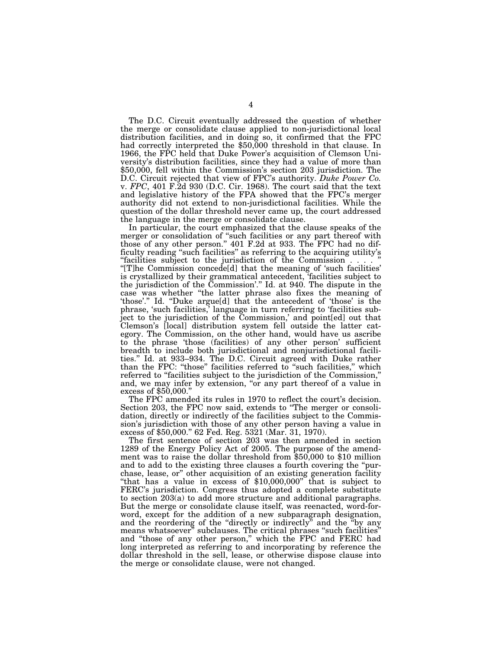The D.C. Circuit eventually addressed the question of whether the merge or consolidate clause applied to non-jurisdictional local distribution facilities, and in doing so, it confirmed that the FPC had correctly interpreted the \$50,000 threshold in that clause. In 1966, the FPC held that Duke Power's acquisition of Clemson University's distribution facilities, since they had a value of more than \$50,000, fell within the Commission's section 203 jurisdiction. The D.C. Circuit rejected that view of FPC's authority. *Duke Power Co.*  v. *FPC*, 401 F.2d 930 (D.C. Cir. 1968). The court said that the text and legislative history of the FPA showed that the FPC's merger authority did not extend to non-jurisdictional facilities. While the question of the dollar threshold never came up, the court addressed the language in the merge or consolidate clause.

In particular, the court emphasized that the clause speaks of the merger or consolidation of ''such facilities or any part thereof with those of any other person.'' 401 F.2d at 933. The FPC had no difficulty reading ''such facilities'' as referring to the acquiring utility's "facilities subject to the jurisdiction of the Commission". ''[T]he Commission concede[d] that the meaning of 'such facilities' is crystallized by their grammatical antecedent, 'facilities subject to the jurisdiction of the Commission'.'' Id. at 940. The dispute in the case was whether ''the latter phrase also fixes the meaning of 'those'.'' Id. ''Duke argue[d] that the antecedent of 'those' is the phrase, 'such facilities,' language in turn referring to 'facilities subject to the jurisdiction of the Commission,' and point[ed] out that Clemson's [local] distribution system fell outside the latter category. The Commission, on the other hand, would have us ascribe to the phrase 'those (facilities) of any other person' sufficient breadth to include both jurisdictional and nonjurisdictional facilities.'' Id. at 933–934. The D.C. Circuit agreed with Duke rather than the FPC: "those" facilities referred to "such facilities," which referred to "facilities subject to the jurisdiction of the Commission," and, we may infer by extension, ''or any part thereof of a value in excess of \$50,000.''

The FPC amended its rules in 1970 to reflect the court's decision. Section 203, the FPC now said, extends to ''The merger or consolidation, directly or indirectly of the facilities subject to the Commission's jurisdiction with those of any other person having a value in excess of \$50,000.'' 62 Fed. Reg. 5321 (Mar. 31, 1970).

The first sentence of section 203 was then amended in section 1289 of the Energy Policy Act of 2005. The purpose of the amendment was to raise the dollar threshold from \$50,000 to \$10 million and to add to the existing three clauses a fourth covering the ''purchase, lease, or'' other acquisition of an existing generation facility ''that has a value in excess of \$10,000,000'' that is subject to FERC's jurisdiction. Congress thus adopted a complete substitute to section 203(a) to add more structure and additional paragraphs. But the merge or consolidate clause itself, was reenacted, word-forword, except for the addition of a new subparagraph designation, and the reordering of the ''directly or indirectly'' and the ''by any means whatsoever'' subclauses. The critical phrases ''such facilities'' and ''those of any other person,'' which the FPC and FERC had long interpreted as referring to and incorporating by reference the dollar threshold in the sell, lease, or otherwise dispose clause into the merge or consolidate clause, were not changed.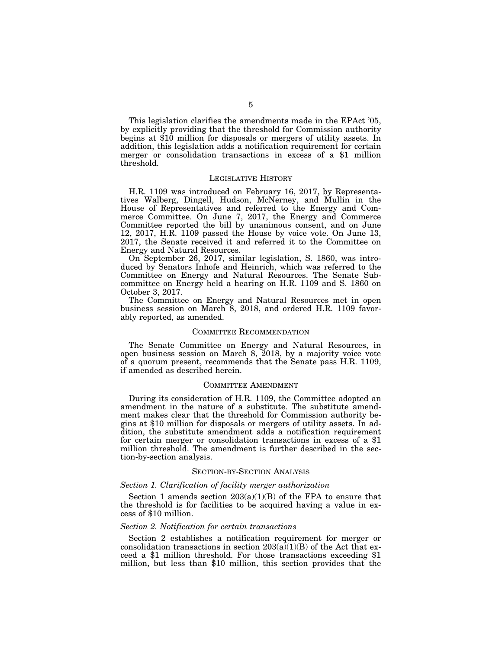This legislation clarifies the amendments made in the EPAct '05, by explicitly providing that the threshold for Commission authority begins at \$10 million for disposals or mergers of utility assets. In addition, this legislation adds a notification requirement for certain merger or consolidation transactions in excess of a \$1 million threshold.

### LEGISLATIVE HISTORY

H.R. 1109 was introduced on February 16, 2017, by Representatives Walberg, Dingell, Hudson, McNerney, and Mullin in the House of Representatives and referred to the Energy and Commerce Committee. On June 7, 2017, the Energy and Commerce Committee reported the bill by unanimous consent, and on June 12, 2017, H.R. 1109 passed the House by voice vote. On June 13, 2017, the Senate received it and referred it to the Committee on Energy and Natural Resources.

On September 26, 2017, similar legislation, S. 1860, was introduced by Senators Inhofe and Heinrich, which was referred to the Committee on Energy and Natural Resources. The Senate Subcommittee on Energy held a hearing on H.R. 1109 and S. 1860 on October 3, 2017.

The Committee on Energy and Natural Resources met in open business session on March 8, 2018, and ordered H.R. 1109 favorably reported, as amended.

#### COMMITTEE RECOMMENDATION

The Senate Committee on Energy and Natural Resources, in open business session on March 8, 2018, by a majority voice vote of a quorum present, recommends that the Senate pass H.R. 1109, if amended as described herein.

# COMMITTEE AMENDMENT

During its consideration of H.R. 1109, the Committee adopted an amendment in the nature of a substitute. The substitute amendment makes clear that the threshold for Commission authority begins at \$10 million for disposals or mergers of utility assets. In addition, the substitute amendment adds a notification requirement for certain merger or consolidation transactions in excess of a \$1 million threshold. The amendment is further described in the section-by-section analysis.

#### SECTION-BY-SECTION ANALYSIS

# *Section 1. Clarification of facility merger authorization*

Section 1 amends section  $203(a)(1)(B)$  of the FPA to ensure that the threshold is for facilities to be acquired having a value in excess of \$10 million.

#### *Section 2. Notification for certain transactions*

Section 2 establishes a notification requirement for merger or consolidation transactions in section  $203(a)(1)(B)$  of the Act that exceed a \$1 million threshold. For those transactions exceeding \$1 million, but less than \$10 million, this section provides that the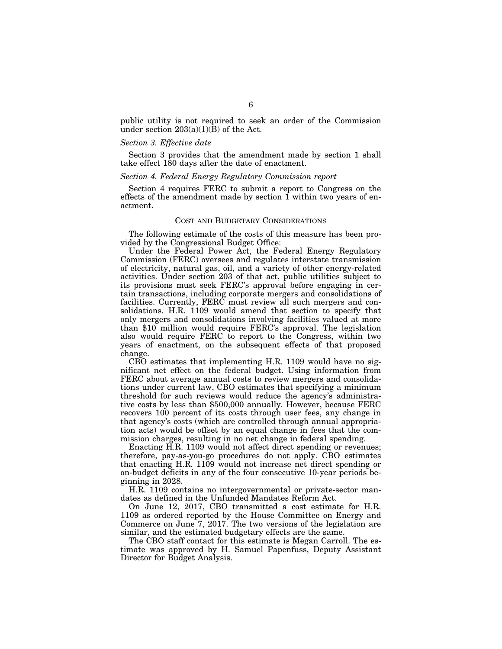public utility is not required to seek an order of the Commission under section  $203(a)(1)(\bar{B})$  of the Act.

# *Section 3. Effective date*

Section 3 provides that the amendment made by section 1 shall take effect 180 days after the date of enactment.

#### *Section 4. Federal Energy Regulatory Commission report*

Section 4 requires FERC to submit a report to Congress on the effects of the amendment made by section 1 within two years of enactment.

# COST AND BUDGETARY CONSIDERATIONS

The following estimate of the costs of this measure has been provided by the Congressional Budget Office:

Under the Federal Power Act, the Federal Energy Regulatory Commission (FERC) oversees and regulates interstate transmission of electricity, natural gas, oil, and a variety of other energy-related activities. Under section 203 of that act, public utilities subject to its provisions must seek FERC's approval before engaging in certain transactions, including corporate mergers and consolidations of facilities. Currently, FERC must review all such mergers and consolidations. H.R. 1109 would amend that section to specify that only mergers and consolidations involving facilities valued at more than \$10 million would require FERC's approval. The legislation also would require FERC to report to the Congress, within two years of enactment, on the subsequent effects of that proposed change.

CBO estimates that implementing H.R. 1109 would have no significant net effect on the federal budget. Using information from FERC about average annual costs to review mergers and consolidations under current law, CBO estimates that specifying a minimum threshold for such reviews would reduce the agency's administrative costs by less than \$500,000 annually. However, because FERC recovers 100 percent of its costs through user fees, any change in that agency's costs (which are controlled through annual appropriation acts) would be offset by an equal change in fees that the commission charges, resulting in no net change in federal spending.

Enacting H.R. 1109 would not affect direct spending or revenues; therefore, pay-as-you-go procedures do not apply. CBO estimates that enacting H.R. 1109 would not increase net direct spending or on-budget deficits in any of the four consecutive 10-year periods beginning in 2028.

H.R. 1109 contains no intergovernmental or private-sector mandates as defined in the Unfunded Mandates Reform Act.

On June 12, 2017, CBO transmitted a cost estimate for H.R. 1109 as ordered reported by the House Committee on Energy and Commerce on June 7, 2017. The two versions of the legislation are similar, and the estimated budgetary effects are the same.

The CBO staff contact for this estimate is Megan Carroll. The estimate was approved by H. Samuel Papenfuss, Deputy Assistant Director for Budget Analysis.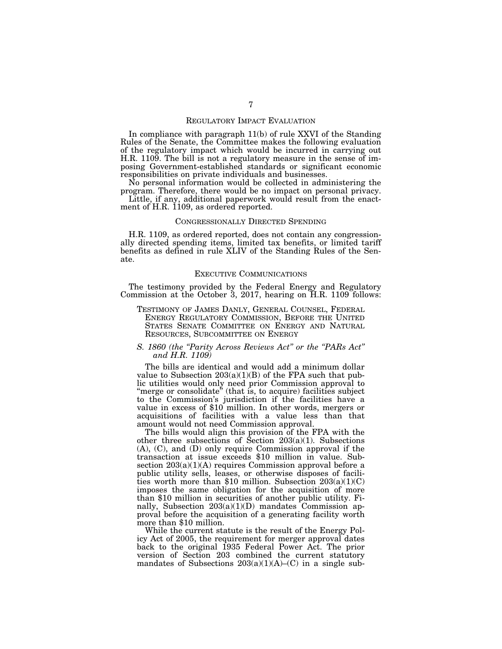## REGULATORY IMPACT EVALUATION

In compliance with paragraph 11(b) of rule XXVI of the Standing Rules of the Senate, the Committee makes the following evaluation of the regulatory impact which would be incurred in carrying out H.R. 1109. The bill is not a regulatory measure in the sense of imposing Government-established standards or significant economic responsibilities on private individuals and businesses.

No personal information would be collected in administering the program. Therefore, there would be no impact on personal privacy.

Little, if any, additional paperwork would result from the enactment of H.R. 1109, as ordered reported.

### CONGRESSIONALLY DIRECTED SPENDING

H.R. 1109, as ordered reported, does not contain any congressionally directed spending items, limited tax benefits, or limited tariff benefits as defined in rule XLIV of the Standing Rules of the Senate.

# EXECUTIVE COMMUNICATIONS

The testimony provided by the Federal Energy and Regulatory Commission at the October 3, 2017, hearing on H.R. 1109 follows:

TESTIMONY OF JAMES DANLY, GENERAL COUNSEL, FEDERAL ENERGY REGULATORY COMMISSION, BEFORE THE UNITED STATES SENATE COMMITTEE ON ENERGY AND NATURAL RESOURCES, SUBCOMMITTEE ON ENERGY

# *S. 1860 (the ''Parity Across Reviews Act'' or the ''PARs Act'' and H.R. 1109)*

The bills are identical and would add a minimum dollar value to Subsection  $203(a)(1)(B)$  of the FPA such that public utilities would only need prior Commission approval to "merge or consolidate" (that is, to acquire) facilities subject to the Commission's jurisdiction if the facilities have a value in excess of \$10 million. In other words, mergers or acquisitions of facilities with a value less than that amount would not need Commission approval.

The bills would align this provision of the FPA with the other three subsections of Section 203(a)(1). Subsections (A), (C), and (D) only require Commission approval if the transaction at issue exceeds \$10 million in value. Subsection  $203(a)(1)(A)$  requires Commission approval before a public utility sells, leases, or otherwise disposes of facilities worth more than \$10 million. Subsection  $203(a)(1)(C)$ imposes the same obligation for the acquisition of more than \$10 million in securities of another public utility. Finally, Subsection 203(a)(1)(D) mandates Commission approval before the acquisition of a generating facility worth more than \$10 million.

While the current statute is the result of the Energy Policy Act of 2005, the requirement for merger approval dates back to the original 1935 Federal Power Act. The prior version of Section 203 combined the current statutory mandates of Subsections  $203(a)(1)(A)$ –(C) in a single sub-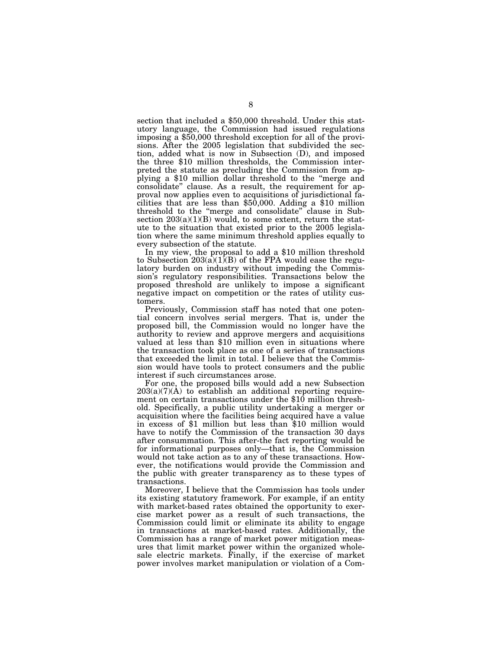section that included a \$50,000 threshold. Under this statutory language, the Commission had issued regulations imposing a \$50,000 threshold exception for all of the provisions. After the 2005 legislation that subdivided the section, added what is now in Subsection (D), and imposed the three \$10 million thresholds, the Commission interpreted the statute as precluding the Commission from applying a \$10 million dollar threshold to the ''merge and consolidate'' clause. As a result, the requirement for approval now applies even to acquisitions of jurisdictional facilities that are less than \$50,000. Adding a \$10 million threshold to the ''merge and consolidate'' clause in Subsection  $203(a)(1)(B)$  would, to some extent, return the statute to the situation that existed prior to the 2005 legislation where the same minimum threshold applies equally to

every subsection of the statute. In my view, the proposal to add a \$10 million threshold to Subsection  $203(a)(1)(B)$  of the FPA would ease the regulatory burden on industry without impeding the Commission's regulatory responsibilities. Transactions below the proposed threshold are unlikely to impose a significant negative impact on competition or the rates of utility customers.

Previously, Commission staff has noted that one potential concern involves serial mergers. That is, under the proposed bill, the Commission would no longer have the authority to review and approve mergers and acquisitions valued at less than \$10 million even in situations where the transaction took place as one of a series of transactions that exceeded the limit in total. I believe that the Commission would have tools to protect consumers and the public interest if such circumstances arose.

For one, the proposed bills would add a new Subsection  $203(a)(7)(A)$  to establish an additional reporting requirement on certain transactions under the \$10 million threshold. Specifically, a public utility undertaking a merger or acquisition where the facilities being acquired have a value in excess of \$1 million but less than \$10 million would have to notify the Commission of the transaction 30 days after consummation. This after-the fact reporting would be for informational purposes only—that is, the Commission would not take action as to any of these transactions. However, the notifications would provide the Commission and the public with greater transparency as to these types of transactions.

Moreover, I believe that the Commission has tools under its existing statutory framework. For example, if an entity with market-based rates obtained the opportunity to exercise market power as a result of such transactions, the Commission could limit or eliminate its ability to engage in transactions at market-based rates. Additionally, the Commission has a range of market power mitigation measures that limit market power within the organized wholesale electric markets. Finally, if the exercise of market power involves market manipulation or violation of a Com-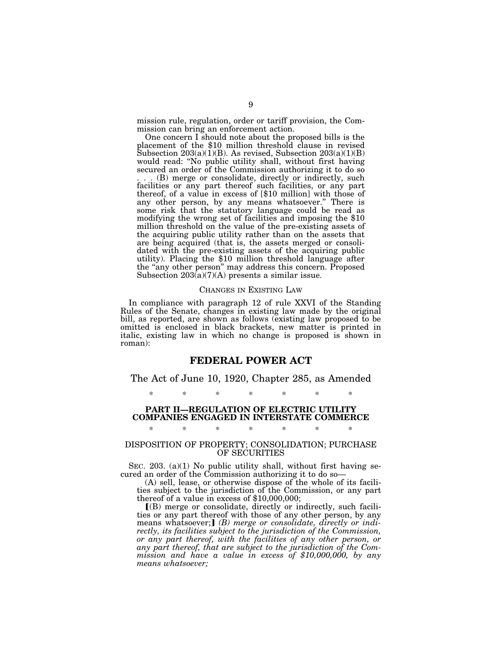mission rule, regulation, order or tariff provision, the Commission can bring an enforcement action.

One concern I should note about the proposed bills is the placement of the \$10 million threshold clause in revised Subsection  $203(a)(1)(B)$ . As revised, Subsection  $203(a)(1)(B)$ would read: ''No public utility shall, without first having secured an order of the Commission authorizing it to do so . . . (B) merge or consolidate, directly or indirectly, such facilities or any part thereof such facilities, or any part thereof, of a value in excess of [\$10 million] with those of any other person, by any means whatsoever.'' There is some risk that the statutory language could be read as modifying the wrong set of facilities and imposing the \$10 million threshold on the value of the pre-existing assets of the acquiring public utility rather than on the assets that are being acquired (that is, the assets merged or consolidated with the pre-existing assets of the acquiring public utility). Placing the \$10 million threshold language after the ''any other person'' may address this concern. Proposed Subsection 203(a)(7)(A) presents a similar issue.

#### CHANGES IN EXISTING LAW

In compliance with paragraph 12 of rule XXVI of the Standing Rules of the Senate, changes in existing law made by the original bill, as reported, are shown as follows (existing law proposed to be omitted is enclosed in black brackets, new matter is printed in italic, existing law in which no change is proposed is shown in roman):

# **FEDERAL POWER ACT**

The Act of June 10, 1920, Chapter 285, as Amended

\* \* \* \* \* \* \*

# **PART II—REGULATION OF ELECTRIC UTILITY COMPANIES ENGAGED IN INTERSTATE COMMERCE**  \* \* \* \* \* \* \*

# DISPOSITION OF PROPERTY; CONSOLIDATION; PURCHASE OF SECURITIES

SEC. 203. (a)(1) No public utility shall, without first having secured an order of the Commission authorizing it to do so—

(A) sell, lease, or otherwise dispose of the whole of its facilities subject to the jurisdiction of the Commission, or any part thereof of a value in excess of \$10,000,000;

ø(B) merge or consolidate, directly or indirectly, such facilities or any part thereof with those of any other person, by any means whatsoever;**]** (*B) merge or consolidate, directly or indirectly, its facilities subject to the jurisdiction of the Commission, or any part thereof, with the facilities of any other person, or any part thereof, that are subject to the jurisdiction of the Commission and have a value in excess of \$10,000,000, by any means whatsoever;*